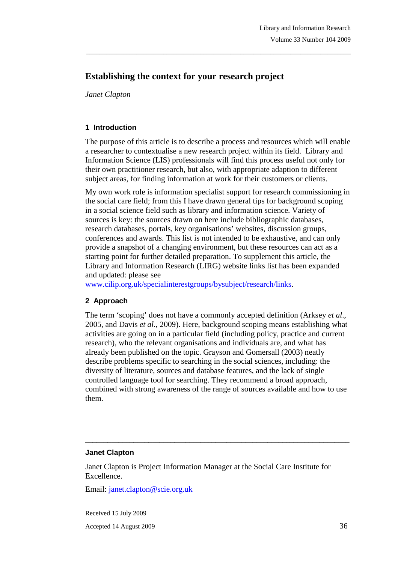# **Establishing the context for your research project**

*Janet Clapton* 

## **1 Introduction**

The purpose of this article is to describe a process and resources which will enable a researcher to contextualise a new research project within its field. Library and Information Science (LIS) professionals will find this process useful not only for their own practitioner research, but also, with appropriate adaption to different subject areas, for finding information at work for their customers or clients.

\_\_\_\_\_\_\_\_\_\_\_\_\_\_\_\_\_\_\_\_\_\_\_\_\_\_\_\_\_\_\_\_\_\_\_\_\_\_\_\_\_\_\_\_\_\_\_\_\_\_\_\_\_\_\_\_\_\_\_\_\_\_\_\_\_\_\_\_\_\_\_\_\_\_\_\_\_\_\_

My own work role is information specialist support for research commissioning in the social care field; from this I have drawn general tips for background scoping in a social science field such as library and information science. Variety of sources is key: the sources drawn on here include bibliographic databases, research databases, portals, key organisations' websites, discussion groups, conferences and awards. This list is not intended to be exhaustive, and can only provide a snapshot of a changing environment, but these resources can act as a starting point for further detailed preparation. To supplement this article, the Library and Information Research (LIRG) website links list has been expanded and updated: please see

www.cilip.org.uk/specialinterestgroups/bysubject/research/links.

## **2 Approach**

The term 'scoping' does not have a commonly accepted definition (Arksey *et al*., 2005, and Davis *et al.*, 2009). Here, background scoping means establishing what activities are going on in a particular field (including policy, practice and current research), who the relevant organisations and individuals are, and what has already been published on the topic. Grayson and Gomersall (2003) neatly describe problems specific to searching in the social sciences, including: the diversity of literature, sources and database features, and the lack of single controlled language tool for searching. They recommend a broad approach, combined with strong awareness of the range of sources available and how to use them.

### **Janet Clapton**

Janet Clapton is Project Information Manager at the Social Care Institute for Excellence.

\_\_\_\_\_\_\_\_\_\_\_\_\_\_\_\_\_\_\_\_\_\_\_\_\_\_\_\_\_\_\_\_\_\_\_\_\_\_\_\_\_\_\_\_\_\_\_\_\_\_\_\_\_\_\_\_\_\_\_\_\_\_\_\_\_\_\_\_\_\_\_

Email: janet.clapton@scie.org.uk

Received 15 July 2009 Accepted 14 August 2009 36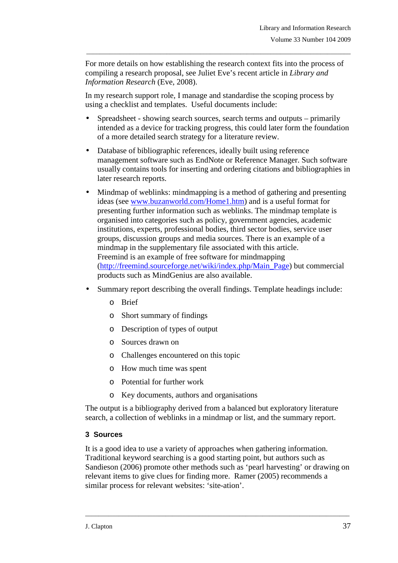For more details on how establishing the research context fits into the process of compiling a research proposal, see Juliet Eve's recent article in *Library and Information Research* (Eve, 2008).

\_\_\_\_\_\_\_\_\_\_\_\_\_\_\_\_\_\_\_\_\_\_\_\_\_\_\_\_\_\_\_\_\_\_\_\_\_\_\_\_\_\_\_\_\_\_\_\_\_\_\_\_\_\_\_\_\_\_\_\_\_\_\_\_\_\_\_\_\_\_\_\_\_\_\_\_\_\_\_

In my research support role, I manage and standardise the scoping process by using a checklist and templates. Useful documents include:

- Spreadsheet showing search sources, search terms and outputs primarily intended as a device for tracking progress, this could later form the foundation of a more detailed search strategy for a literature review.
- Database of bibliographic references, ideally built using reference management software such as EndNote or Reference Manager. Such software usually contains tools for inserting and ordering citations and bibliographies in later research reports.
- Mindmap of weblinks: mindmapping is a method of gathering and presenting ideas (see www.buzanworld.com/Home1.htm) and is a useful format for presenting further information such as weblinks. The mindmap template is organised into categories such as policy, government agencies, academic institutions, experts, professional bodies, third sector bodies, service user groups, discussion groups and media sources. There is an example of a mindmap in the supplementary file associated with this article. Freemind is an example of free software for mindmapping (http://freemind.sourceforge.net/wiki/index.php/Main\_Page) but commercial products such as MindGenius are also available.
- Summary report describing the overall findings. Template headings include:
	- o Brief
	- o Short summary of findings
	- o Description of types of output
	- o Sources drawn on
	- o Challenges encountered on this topic
	- o How much time was spent
	- o Potential for further work
	- o Key documents, authors and organisations

The output is a bibliography derived from a balanced but exploratory literature search, a collection of weblinks in a mindmap or list, and the summary report.

### **3 Sources**

It is a good idea to use a variety of approaches when gathering information. Traditional keyword searching is a good starting point, but authors such as Sandieson (2006) promote other methods such as 'pearl harvesting' or drawing on relevant items to give clues for finding more. Ramer (2005) recommends a similar process for relevant websites: 'site-ation'.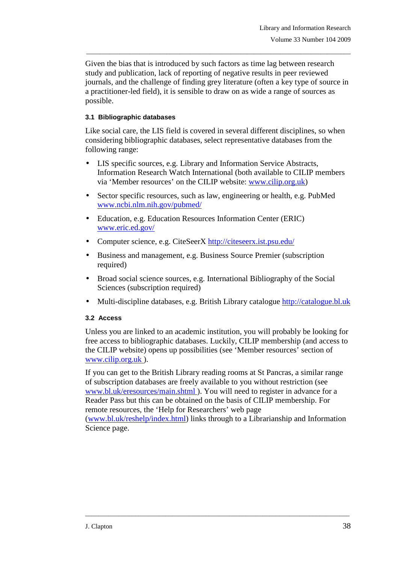Given the bias that is introduced by such factors as time lag between research study and publication, lack of reporting of negative results in peer reviewed journals, and the challenge of finding grey literature (often a key type of source in a practitioner-led field), it is sensible to draw on as wide a range of sources as possible.

\_\_\_\_\_\_\_\_\_\_\_\_\_\_\_\_\_\_\_\_\_\_\_\_\_\_\_\_\_\_\_\_\_\_\_\_\_\_\_\_\_\_\_\_\_\_\_\_\_\_\_\_\_\_\_\_\_\_\_\_\_\_\_\_\_\_\_\_\_\_\_\_\_\_\_\_\_\_\_

## **3.1 Bibliographic databases**

Like social care, the LIS field is covered in several different disciplines, so when considering bibliographic databases, select representative databases from the following range:

- LIS specific sources, e.g. Library and Information Service Abstracts, Information Research Watch International (both available to CILIP members via 'Member resources' on the CILIP website: www.cilip.org.uk)
- Sector specific resources, such as law, engineering or health, e.g. PubMed www.ncbi.nlm.nih.gov/pubmed/
- Education, e.g. Education Resources Information Center (ERIC) www.eric.ed.gov/
- Computer science, e.g. CiteSeerX http://citeseerx.ist.psu.edu/
- Business and management, e.g. Business Source Premier (subscription required)
- Broad social science sources, e.g. International Bibliography of the Social Sciences (subscription required)
- Multi-discipline databases, e.g. British Library catalogue http://catalogue.bl.uk

### **3.2 Access**

Unless you are linked to an academic institution, you will probably be looking for free access to bibliographic databases. Luckily, CILIP membership (and access to the CILIP website) opens up possibilities (see 'Member resources' section of www.cilip.org.uk ).

If you can get to the British Library reading rooms at St Pancras, a similar range of subscription databases are freely available to you without restriction (see www.bl.uk/eresources/main.shtml ). You will need to register in advance for a Reader Pass but this can be obtained on the basis of CILIP membership. For remote resources, the 'Help for Researchers' web page (www.bl.uk/reshelp/index.html) links through to a Librarianship and Information Science page.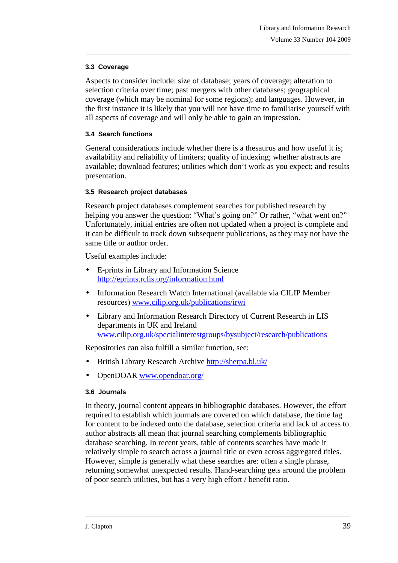## **3.3 Coverage**

Aspects to consider include: size of database; years of coverage; alteration to selection criteria over time; past mergers with other databases; geographical coverage (which may be nominal for some regions); and languages. However, in the first instance it is likely that you will not have time to familiarise yourself with all aspects of coverage and will only be able to gain an impression.

\_\_\_\_\_\_\_\_\_\_\_\_\_\_\_\_\_\_\_\_\_\_\_\_\_\_\_\_\_\_\_\_\_\_\_\_\_\_\_\_\_\_\_\_\_\_\_\_\_\_\_\_\_\_\_\_\_\_\_\_\_\_\_\_\_\_\_\_\_\_\_\_\_\_\_\_\_\_\_

## **3.4 Search functions**

General considerations include whether there is a thesaurus and how useful it is; availability and reliability of limiters; quality of indexing; whether abstracts are available; download features; utilities which don't work as you expect; and results presentation.

## **3.5 Research project databases**

Research project databases complement searches for published research by helping you answer the question: "What's going on?" Or rather, "what went on?" Unfortunately, initial entries are often not updated when a project is complete and it can be difficult to track down subsequent publications, as they may not have the same title or author order.

Useful examples include:

- E-prints in Library and Information Science http://eprints.rclis.org/information.html
- Information Research Watch International (available via CILIP Member resources) www.cilip.org.uk/publications/irwi
- Library and Information Research Directory of Current Research in LIS departments in UK and Ireland www.cilip.org.uk/specialinterestgroups/bysubject/research/publications

Repositories can also fulfill a similar function, see:

- British Library Research Archive http://sherpa.bl.uk/
- OpenDOAR www.opendoar.org/

## **3.6 Journals**

In theory, journal content appears in bibliographic databases. However, the effort required to establish which journals are covered on which database, the time lag for content to be indexed onto the database, selection criteria and lack of access to author abstracts all mean that journal searching complements bibliographic database searching. In recent years, table of contents searches have made it relatively simple to search across a journal title or even across aggregated titles. However, simple is generally what these searches are: often a single phrase, returning somewhat unexpected results. Hand-searching gets around the problem of poor search utilities, but has a very high effort / benefit ratio.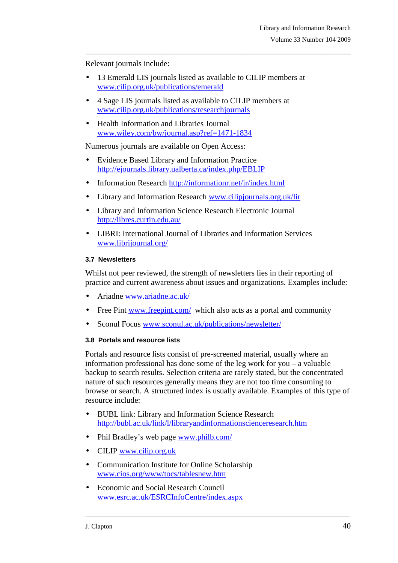Relevant journals include:

• 13 Emerald LIS journals listed as available to CILIP members at www.cilip.org.uk/publications/emerald

\_\_\_\_\_\_\_\_\_\_\_\_\_\_\_\_\_\_\_\_\_\_\_\_\_\_\_\_\_\_\_\_\_\_\_\_\_\_\_\_\_\_\_\_\_\_\_\_\_\_\_\_\_\_\_\_\_\_\_\_\_\_\_\_\_\_\_\_\_\_\_\_\_\_\_\_\_\_\_

- 4 Sage LIS journals listed as available to CILIP members at www.cilip.org.uk/publications/researchjournals
- Health Information and Libraries Journal www.wiley.com/bw/journal.asp?ref=1471-1834

Numerous journals are available on Open Access:

- Evidence Based Library and Information Practice http://ejournals.library.ualberta.ca/index.php/EBLIP
- Information Research http://informationr.net/ir/index.html
- Library and Information Research www.cilipjournals.org.uk/lir
- Library and Information Science Research Electronic Journal http://libres.curtin.edu.au/
- LIBRI: International Journal of Libraries and Information Services www.librijournal.org/

#### **3.7 Newsletters**

Whilst not peer reviewed, the strength of newsletters lies in their reporting of practice and current awareness about issues and organizations. Examples include:

- Ariadne www.ariadne.ac.uk/
- Free Pint www.freepint.com/ which also acts as a portal and community
- Sconul Focus www.sconul.ac.uk/publications/newsletter/

#### **3.8 Portals and resource lists**

Portals and resource lists consist of pre-screened material, usually where an information professional has done some of the leg work for you – a valuable backup to search results. Selection criteria are rarely stated, but the concentrated nature of such resources generally means they are not too time consuming to browse or search. A structured index is usually available. Examples of this type of resource include:

- BUBL link: Library and Information Science Research http://bubl.ac.uk/link/l/libraryandinformationscienceresearch.htm
- Phil Bradley's web page www.philb.com/
- CILIP www.cilip.org.uk
- Communication Institute for Online Scholarship www.cios.org/www/tocs/tablesnew.htm
- Economic and Social Research Council www.esrc.ac.uk/ESRCInfoCentre/index.aspx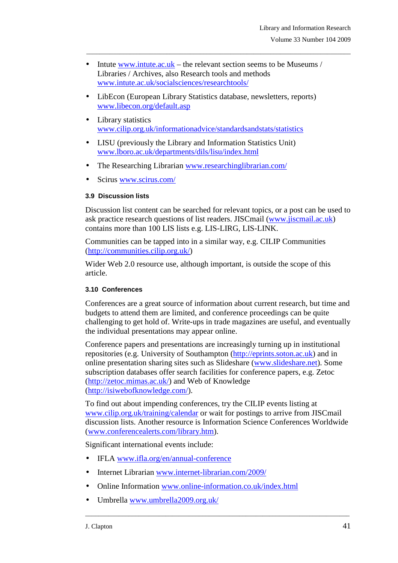• Intute www.intute.ac.uk – the relevant section seems to be Museums / Libraries / Archives, also Research tools and methods www.intute.ac.uk/socialsciences/researchtools/

\_\_\_\_\_\_\_\_\_\_\_\_\_\_\_\_\_\_\_\_\_\_\_\_\_\_\_\_\_\_\_\_\_\_\_\_\_\_\_\_\_\_\_\_\_\_\_\_\_\_\_\_\_\_\_\_\_\_\_\_\_\_\_\_\_\_\_\_\_\_\_\_\_\_\_\_\_\_\_

- LibEcon (European Library Statistics database, newsletters, reports) www.libecon.org/default.asp
- Library statistics www.cilip.org.uk/informationadvice/standardsandstats/statistics
- LISU (previously the Library and Information Statistics Unit) www.lboro.ac.uk/departments/dils/lisu/index.html
- The Researching Librarian www.researchinglibrarian.com/
- Scirus www.scirus.com/

#### **3.9 Discussion lists**

Discussion list content can be searched for relevant topics, or a post can be used to ask practice research questions of list readers. JISCmail (www.jiscmail.ac.uk) contains more than 100 LIS lists e.g. LIS-LIRG, LIS-LINK.

Communities can be tapped into in a similar way, e.g. CILIP Communities (http://communities.cilip.org.uk/)

Wider Web 2.0 resource use, although important, is outside the scope of this article.

#### **3.10 Conferences**

Conferences are a great source of information about current research, but time and budgets to attend them are limited, and conference proceedings can be quite challenging to get hold of. Write-ups in trade magazines are useful, and eventually the individual presentations may appear online.

Conference papers and presentations are increasingly turning up in institutional repositories (e.g. University of Southampton (http://eprints.soton.ac.uk) and in online presentation sharing sites such as Slideshare (www.slideshare.net). Some subscription databases offer search facilities for conference papers, e.g. Zetoc (http://zetoc.mimas.ac.uk/) and Web of Knowledge (http://isiwebofknowledge.com/).

To find out about impending conferences, try the CILIP events listing at www.cilip.org.uk/training/calendar or wait for postings to arrive from JISCmail discussion lists. Another resource is Information Science Conferences Worldwide (www.conferencealerts.com/library.htm).

\_\_\_\_\_\_\_\_\_\_\_\_\_\_\_\_\_\_\_\_\_\_\_\_\_\_\_\_\_\_\_\_\_\_\_\_\_\_\_\_\_\_\_\_\_\_\_\_\_\_\_\_\_\_\_\_\_\_\_\_\_\_\_\_\_\_\_\_\_\_\_\_\_\_\_\_\_\_\_

Significant international events include:

- IFLA www.ifla.org/en/annual-conference
- Internet Librarian www.internet-librarian.com/2009/
- Online Information www.online-information.co.uk/index.html
- Umbrella www.umbrella2009.org.uk/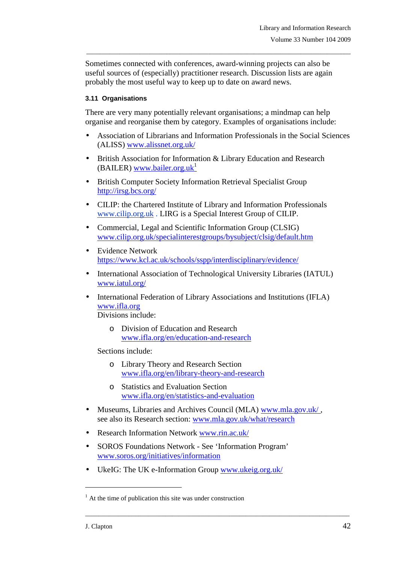Sometimes connected with conferences, award-winning projects can also be useful sources of (especially) practitioner research. Discussion lists are again probably the most useful way to keep up to date on award news.

\_\_\_\_\_\_\_\_\_\_\_\_\_\_\_\_\_\_\_\_\_\_\_\_\_\_\_\_\_\_\_\_\_\_\_\_\_\_\_\_\_\_\_\_\_\_\_\_\_\_\_\_\_\_\_\_\_\_\_\_\_\_\_\_\_\_\_\_\_\_\_\_\_\_\_\_\_\_\_

### **3.11 Organisations**

There are very many potentially relevant organisations; a mindmap can help organise and reorganise them by category. Examples of organisations include:

- Association of Librarians and Information Professionals in the Social Sciences (ALISS) www.alissnet.org.uk/
- British Association for Information & Library Education and Research (BAILER) www.bailer.org.uk<sup>1</sup>
- British Computer Society Information Retrieval Specialist Group http://irsg.bcs.org/
- CILIP: the Chartered Institute of Library and Information Professionals www.cilip.org.uk . LIRG is a Special Interest Group of CILIP.
- Commercial, Legal and Scientific Information Group (CLSIG) www.cilip.org.uk/specialinterestgroups/bysubject/clsig/default.htm
- Evidence Network https://www.kcl.ac.uk/schools/sspp/interdisciplinary/evidence/
- International Association of Technological University Libraries (IATUL) www.iatul.org/
- International Federation of Library Associations and Institutions (IFLA) www.ifla.org Divisions include:
	- o Division of Education and Research www.ifla.org/en/education-and-research

Sections include:

- o Library Theory and Research Section www.ifla.org/en/library-theory-and-research
- o Statistics and Evaluation Section www.ifla.org/en/statistics-and-evaluation
- Museums, Libraries and Archives Council (MLA) www.mla.gov.uk/ , see also its Research section: www.mla.gov.uk/what/research

\_\_\_\_\_\_\_\_\_\_\_\_\_\_\_\_\_\_\_\_\_\_\_\_\_\_\_\_\_\_\_\_\_\_\_\_\_\_\_\_\_\_\_\_\_\_\_\_\_\_\_\_\_\_\_\_\_\_\_\_\_\_\_\_\_\_\_\_\_\_\_\_\_\_\_\_\_\_\_

- Research Information Network www.rin.ac.uk/
- SOROS Foundations Network See 'Information Program' www.soros.org/initiatives/information
- UkeIG: The UK e-Information Group www.ukeig.org.uk/

 $\overline{a}$ 

<sup>&</sup>lt;sup>1</sup> At the time of publication this site was under construction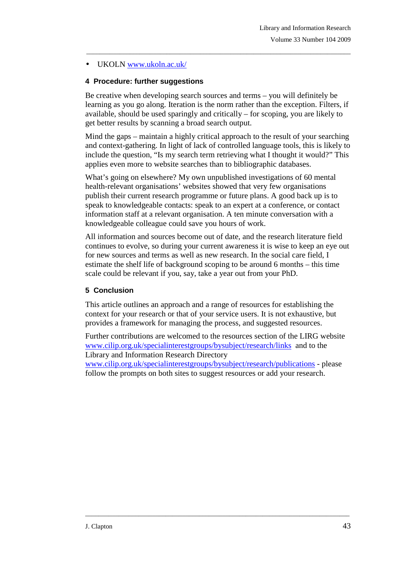## • UKOLN www.ukoln.ac.uk/

## **4 Procedure: further suggestions**

Be creative when developing search sources and terms – you will definitely be learning as you go along. Iteration is the norm rather than the exception. Filters, if available, should be used sparingly and critically – for scoping, you are likely to get better results by scanning a broad search output.

\_\_\_\_\_\_\_\_\_\_\_\_\_\_\_\_\_\_\_\_\_\_\_\_\_\_\_\_\_\_\_\_\_\_\_\_\_\_\_\_\_\_\_\_\_\_\_\_\_\_\_\_\_\_\_\_\_\_\_\_\_\_\_\_\_\_\_\_\_\_\_\_\_\_\_\_\_\_\_

Mind the gaps – maintain a highly critical approach to the result of your searching and context-gathering. In light of lack of controlled language tools, this is likely to include the question, "Is my search term retrieving what I thought it would?" This applies even more to website searches than to bibliographic databases.

What's going on elsewhere? My own unpublished investigations of 60 mental health-relevant organisations' websites showed that very few organisations publish their current research programme or future plans. A good back up is to speak to knowledgeable contacts: speak to an expert at a conference, or contact information staff at a relevant organisation. A ten minute conversation with a knowledgeable colleague could save you hours of work.

All information and sources become out of date, and the research literature field continues to evolve, so during your current awareness it is wise to keep an eye out for new sources and terms as well as new research. In the social care field, I estimate the shelf life of background scoping to be around 6 months – this time scale could be relevant if you, say, take a year out from your PhD.

### **5 Conclusion**

This article outlines an approach and a range of resources for establishing the context for your research or that of your service users. It is not exhaustive, but provides a framework for managing the process, and suggested resources.

Further contributions are welcomed to the resources section of the LIRG website www.cilip.org.uk/specialinterestgroups/bysubject/research/links and to the Library and Information Research Directory

www.cilip.org.uk/specialinterestgroups/bysubject/research/publications - please follow the prompts on both sites to suggest resources or add your research.